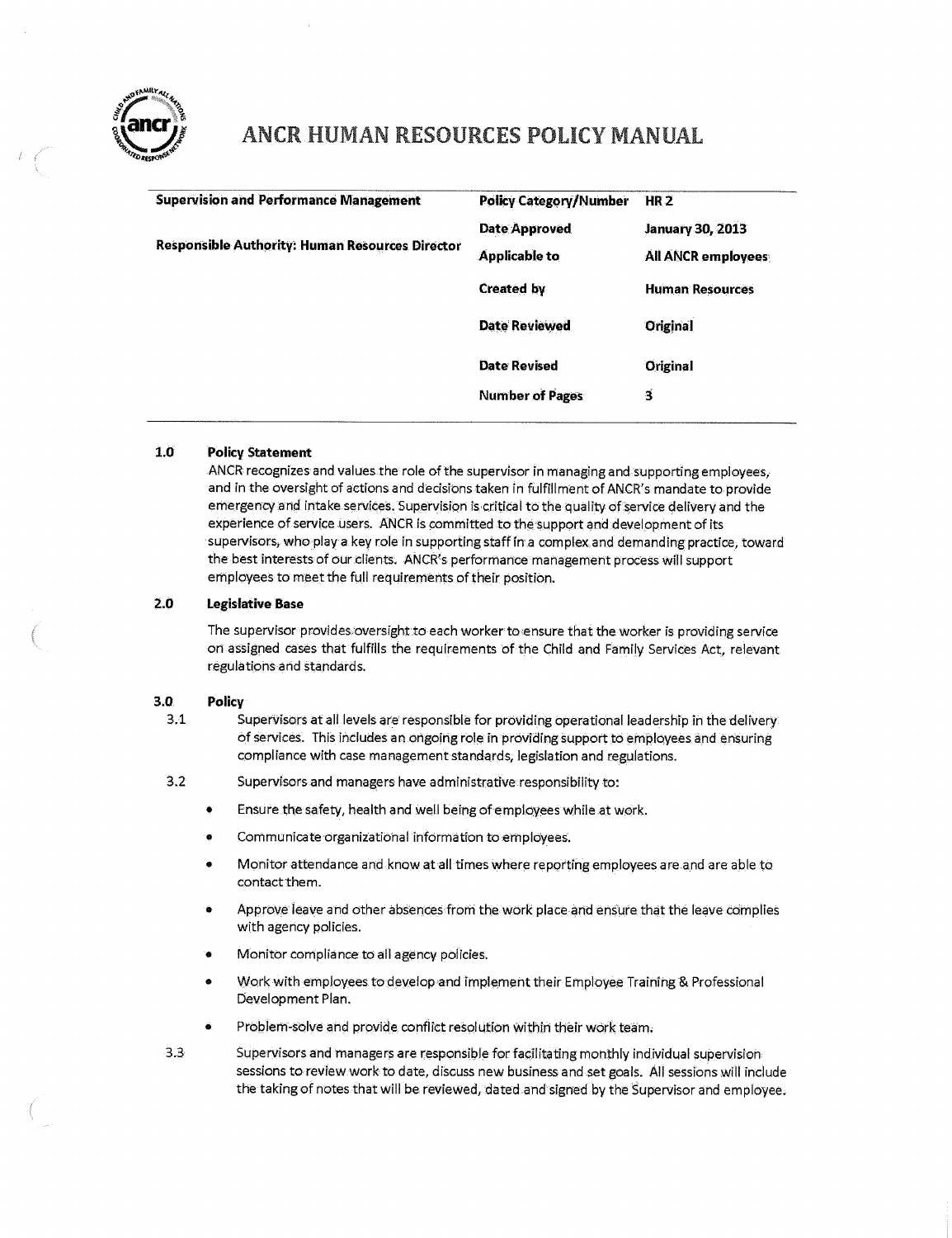

## ANCR HUMAN RESOURCES POLICY MANUAL

| <b>Supervision and Performance Management</b>          | <b>Policy Category/Number</b> | HR <sub>2</sub>         |
|--------------------------------------------------------|-------------------------------|-------------------------|
| <b>Responsible Authority: Human Resources Director</b> | <b>Date Approved</b>          | <b>January 30, 2013</b> |
|                                                        | Applicable to                 | All ANCR employees      |
|                                                        | <b>Created by</b>             | <b>Human Resources</b>  |
|                                                        | <b>Date Reviewed</b>          | Original                |
|                                                        | <b>Date Revised</b>           | Original                |
|                                                        | <b>Number of Pages</b>        | з                       |
|                                                        |                               |                         |

### $1.0$ **Policy Statement**

ANCR recognizes and values the role of the supervisor in managing and supporting employees, and in the oversight of actions and decisions taken in fulfillment of ANCR's mandate to provide emergency and intake service's. Supervision is critical to the quality of service delivery and the experience of service users. ANCR is committed to the support and development of its supervisors, who play a key role in supporting staff in a complex and demanding practice, toward the best interests of our clients. ANCR's performance management process will support employees to meet the full requirements of their position.

#### **2.0 Legislative Base**

The supervisor provides oversight to each worker to ensure that the worker is providing service on assigned cases that fulfills the requirements of the Child and Family Services Act, relevant regulations and standards.

#### **3.0 Policy**

- 3.1 Supervisors at all levels are responsible for providing operational leadership iri the delivery: of services. This includes an ongoing role in providing support to employees and ensuring compliance with case management standards, legislation and regulations.
- 3.2 Supervisors and managers have administrative responsibility to:
	- Ensure the safety, health and well being of employees while at work.
	- Communicateorganizatidhal information to employees.
	- Monitor attendance and know at all times where reporting employees are and are able to contact them.
	- Approve leave and other absences from the work place and ensure that the leave complies with agency policies.
	- Monitor complianee to ail agency policies.
	- Work with employees to develop and implement their Employee Training & Professional Development Plan.
	- Problem-solve and provide conflict resolution within their work team.
- 3.3 Supervisors and managers are responsible for facilitating monthly individual supervision sessions to review work to date, discuss new business and set goals. All sessions will include the taking of notes that will be reviewed, dated and signed by the Supervisor and employee.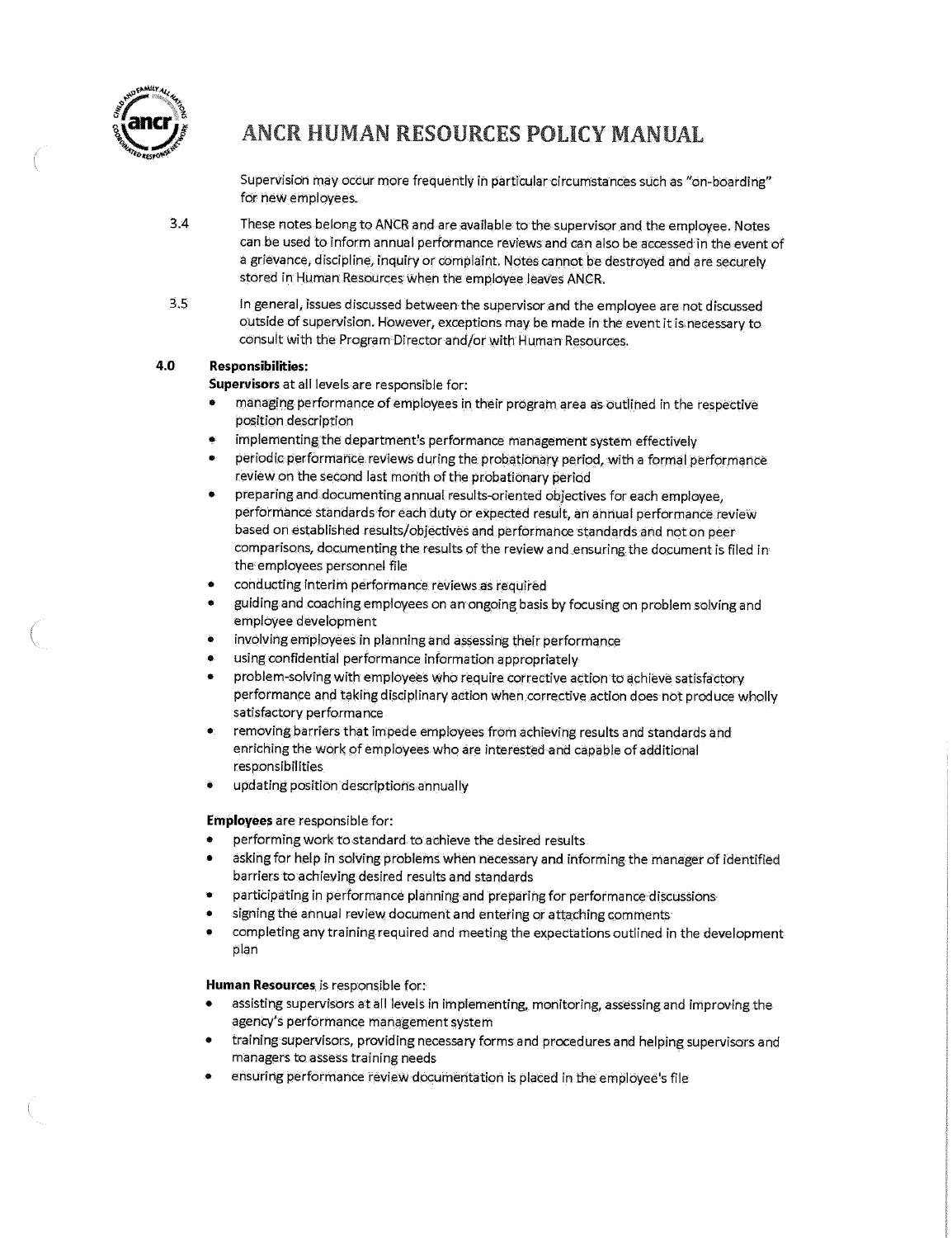

## ANCR HUMAN RESOURCES POLICY **MANUAL**

Supervision may occur more frequently in particular circumstances such as "on-boarding" for new employees.

- 3.4 These notes belong to ANCR and are available to the supervisor and the employee. Notes can be used to inform annual performance reviews and can also be accessed in the event of a grievance, discipline, inquiry or complaint. Notes cannot be destroyed and are securely stored in Human Resources when the employee leaves ANCR.
- 3.5 In general, issues discussed between the supervisor and the employee are not discussed outside of supervision. However, exceptions may be made in the event it is necessary to consult with the Program Director and/or with Human Resources.

## **4.0 Responsibilities:**

**Supervisors** at all levels are responsible for:

- managing performance of employees in their program area as outlined in the respective position description
- implementing the department's performance management system effectively
- periodic performance reviews during the probationary period, with a formal performance review on the second last month of the probationary period
- preparing and documenting annual results-oriented objectives for each employee, performance standards for each duty or expected result, an annua I performance review based on established results/objectives and performance standards and not on peer comparisons, documenting the results of the review and ensuring the document is filed in the employees personnel file
- conducting interim performance reviews as required
- guidingand coaching employees on an ongoing basis by focusing on problem solving and employee development
- involving employees in planning and assessing their performance
- using confidential performance information appropriately
- problem-solving with employees who require corrective action to achieve satisfactory performance and taking disciplinary action when corrective action does not produce wholly satisfactory performance
- removing barriers that impede employees from achieving results a nd standards and enriching the work of employees who are interested and capable of additional responsibilities.
- updating position descriptions annually

### **Employees** are responsible for:

- performing work to standard to achieve the desired results
- asking for help in solving problems when necessary and informing the manager of identified ba rriers to achieving desired results and standards
- participating in performance planning and preparing for performance discussions
- signing the annual review document and entering or attaching comments
- completing any training required and meeting the expectations outlined in the development plan

**Human Resources** is responsible for:

- assisting supervisors at all levels in implementing, monitoring, assessing and improving the agency's performance management system
- training supervisors, providing necessary forms and procedures and helping supervisors and managers to assess training needs
- ensuring performance review documentation is placed in the employee's file